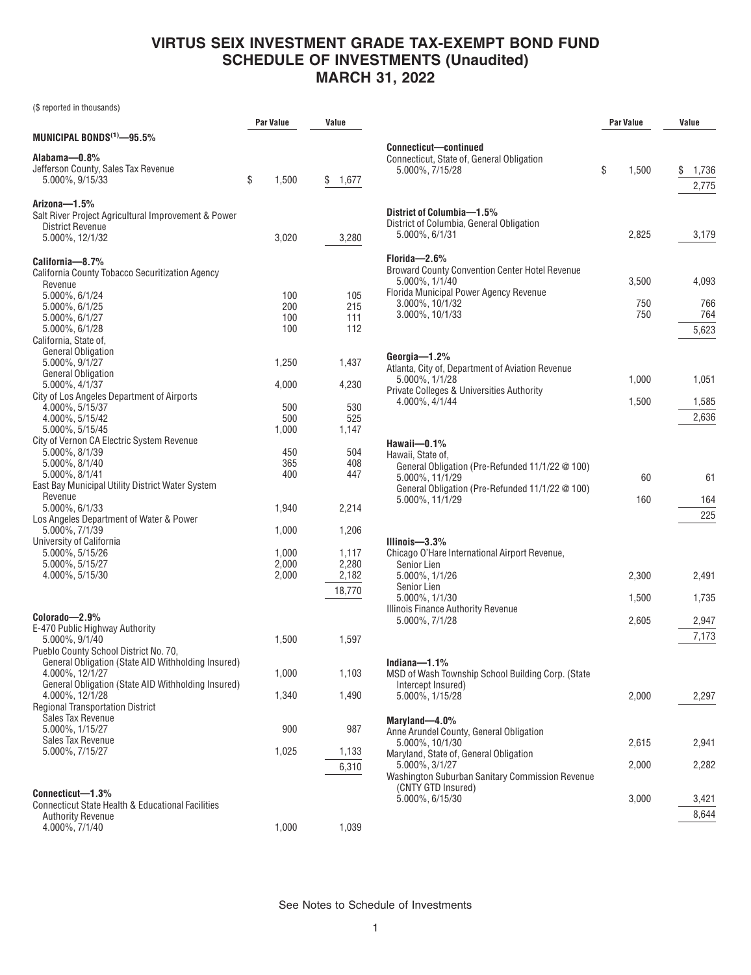## **VIRTUS SEIX INVESTMENT GRADE TAX-EXEMPT BOND FUND SCHEDULE OF INVESTMENTS (Unaudited) MARCH 31, 2022**

(\$ reported in thousands)

|                                                                                          | <b>Par Value</b> | Value          |
|------------------------------------------------------------------------------------------|------------------|----------------|
| MUNICIPAL BONDS $^{(1)}$ -95.5%                                                          |                  |                |
| Alabama—0.8%                                                                             |                  |                |
| Jefferson County, Sales Tax Revenue<br>5.000%, 9/15/33                                   | \$<br>1,500      | \$<br>1,677    |
| Arizona—1.5%                                                                             |                  |                |
| Salt River Project Agricultural Improvement & Power                                      |                  |                |
| <b>District Revenue</b>                                                                  |                  |                |
| 5.000%, 12/1/32                                                                          | 3,020            | 3,280          |
| California-8.7%                                                                          |                  |                |
| California County Tobacco Securitization Agency                                          |                  |                |
| Revenue                                                                                  |                  |                |
| 5.000%, 6/1/24<br>5.000%, 6/1/25                                                         | 100<br>200       | 105<br>215     |
| 5.000%, 6/1/27                                                                           | 100              | 111            |
| 5.000%, 6/1/28                                                                           | 100              | 112            |
| California, State of,                                                                    |                  |                |
| <b>General Obligation</b><br>5.000%, 9/1/27                                              | 1,250            | 1,437          |
| <b>General Obligation</b>                                                                |                  |                |
| 5.000%, 4/1/37                                                                           | 4,000            | 4,230          |
| City of Los Angeles Department of Airports                                               |                  |                |
| 4.000%, 5/15/37<br>4.000%, 5/15/42                                                       | 500<br>500       | 530<br>525     |
| 5.000%, 5/15/45                                                                          | 1,000            | 1,147          |
| City of Vernon CA Electric System Revenue                                                |                  |                |
| 5.000%, 8/1/39                                                                           | 450              | 504            |
| 5.000%, 8/1/40<br>5.000%, 8/1/41                                                         | 365<br>400       | 408<br>447     |
| East Bay Municipal Utility District Water System                                         |                  |                |
| Revenue                                                                                  |                  |                |
| 5.000%, 6/1/33                                                                           | 1,940            | 2,214          |
| Los Angeles Department of Water & Power<br>5.000%, 7/1/39                                | 1,000            | 1,206          |
| University of California                                                                 |                  |                |
| 5.000%, 5/15/26                                                                          | 1,000            | 1,117          |
| 5.000%, 5/15/27<br>4.000%, 5/15/30                                                       | 2,000<br>2,000   | 2,280<br>2,182 |
|                                                                                          |                  |                |
|                                                                                          |                  | 18,770         |
| Colorado-2.9%                                                                            |                  |                |
| E-470 Public Highway Authority                                                           |                  |                |
| 5.000%, 9/1/40                                                                           | 1,500            | 1,597          |
| Pueblo County School District No. 70,                                                    |                  |                |
| General Obligation (State AID Withholding Insured)<br>4.000%, 12/1/27                    | 1,000            | 1,103          |
| General Obligation (State AID Withholding Insured)                                       |                  |                |
| 4.000%, 12/1/28                                                                          | 1,340            | 1,490          |
| <b>Regional Transportation District</b>                                                  |                  |                |
| Sales Tax Revenue<br>5.000%, 1/15/27                                                     | 900              | 987            |
| Sales Tax Revenue                                                                        |                  |                |
| 5.000%, 7/15/27                                                                          | 1,025            | 1,133          |
|                                                                                          |                  | 6,310          |
|                                                                                          |                  |                |
| Connecticut-1.3%                                                                         |                  |                |
| <b>Connecticut State Health &amp; Educational Facilities</b><br><b>Authority Revenue</b> |                  |                |
| 4.000%, 7/1/40                                                                           | 1,000            | 1,039          |

|                                                                                                                                                                                                                                     | Par Value               | Value                            |
|-------------------------------------------------------------------------------------------------------------------------------------------------------------------------------------------------------------------------------------|-------------------------|----------------------------------|
| Connecticut-continued<br>Connecticut, State of, General Obligation<br>5.000%, 7/15/28                                                                                                                                               | \$<br>1,500             | \$<br>1,736<br>2,775             |
| District of Columbia-1.5%<br>District of Columbia, General Obligation<br>5.000%, 6/1/31                                                                                                                                             | 2,825                   | 3,179                            |
| Florida-2.6%<br><b>Broward County Convention Center Hotel Revenue</b><br>5.000%, 1/1/40<br>Florida Municipal Power Agency Revenue<br>3.000%, 10/1/32<br>3.000%, 10/1/33                                                             | 3,500<br>750<br>750     | 4,093<br>766<br>764<br>5,623     |
| Georgia-1.2%<br>Atlanta, City of, Department of Aviation Revenue<br>5.000%, 1/1/28<br>Private Colleges & Universities Authority<br>4.000%, 4/1/44                                                                                   | 1,000<br>1,500          | 1,051<br>1,585<br>2,636          |
| Hawaii-0.1%<br>Hawaii, State of,<br>General Obligation (Pre-Refunded 11/1/22 @ 100)<br>5.000%, 11/1/29<br>General Obligation (Pre-Refunded 11/1/22 @ 100)<br>5.000%, 11/1/29                                                        | 60<br>160               | 61<br>164<br>225                 |
| Illinois— $3.3\%$<br>Chicago O'Hare International Airport Revenue,<br>Senior Lien<br>5.000%, 1/1/26<br>Senior Lien<br>5.000%, 1/1/30<br>Illinois Finance Authority Revenue<br>5.000%, 7/1/28                                        | 2,300<br>1,500<br>2,605 | 2,491<br>1,735<br>2,947<br>7,173 |
| Indiana $-1.1\%$<br>MSD of Wash Township School Building Corp. (State<br>Intercept Insured)<br>5.000%, 1/15/28                                                                                                                      | 2,000                   | 2,297                            |
| Maryland-4.0%<br>Anne Arundel County, General Obligation<br>5.000%, 10/1/30<br>Maryland, State of, General Obligation<br>5.000%, 3/1/27<br>Washington Suburban Sanitary Commission Revenue<br>(CNTY GTD Insured)<br>5.000%, 6/15/30 | 2,615<br>2,000<br>3,000 | 2,941<br>2,282<br>3,421          |
|                                                                                                                                                                                                                                     |                         | 8,644                            |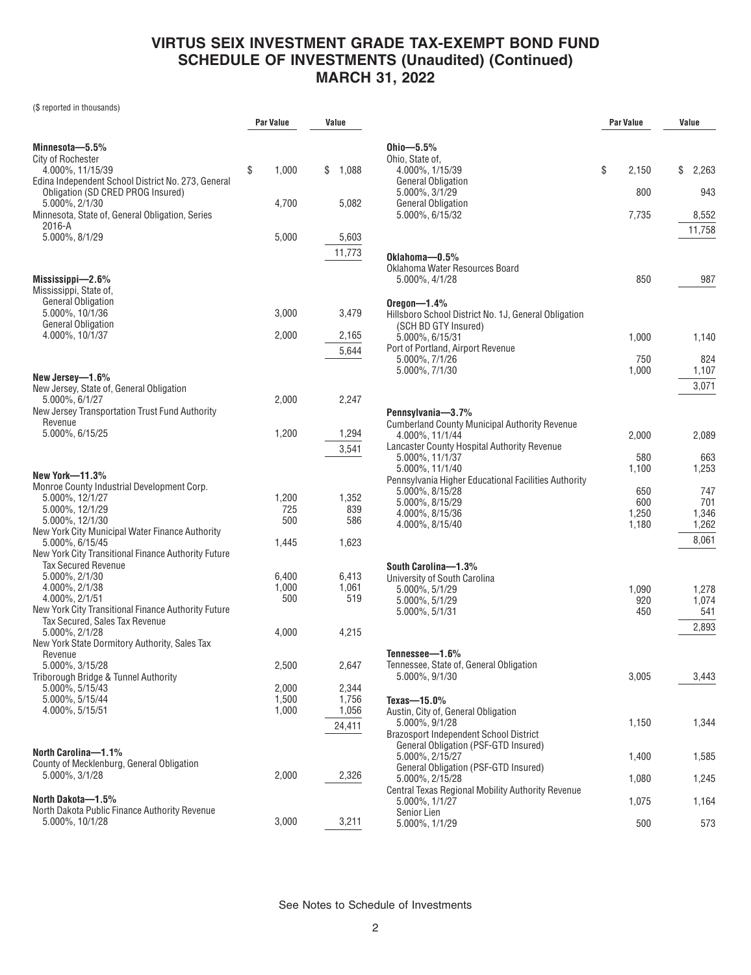# **VIRTUS SEIX INVESTMENT GRADE TAX-EXEMPT BOND FUND SCHEDULE OF INVESTMENTS (Unaudited) (Continued) MARCH 31, 2022**

(\$ reported in thousands)

|                                                                    | <b>Par Value</b> | Value          |           |
|--------------------------------------------------------------------|------------------|----------------|-----------|
|                                                                    |                  |                |           |
| Minnesota-5.5%<br>City of Rochester                                |                  |                | 0h<br>0h  |
| 4.000%, 11/15/39                                                   | \$<br>1,000      | \$<br>1,088    |           |
| Edina Independent School District No. 273, General                 |                  |                |           |
| Obligation (SD CRED PROG Insured)                                  |                  |                |           |
| 5.000%, 2/1/30<br>Minnesota, State of, General Obligation, Series  | 4,700            | 5,082          |           |
| 2016-A                                                             |                  |                |           |
| 5.000%, 8/1/29                                                     | 5,000            | 5,603          |           |
|                                                                    |                  | 11,773         | 0k        |
|                                                                    |                  |                | 0k        |
| Mississippi—2.6%                                                   |                  |                |           |
| Mississippi, State of,<br><b>General Obligation</b>                |                  |                |           |
| 5.000%, 10/1/36                                                    | 3,000            | 3,479          | Or<br>Hil |
| <b>General Obligation</b>                                          |                  |                |           |
| 4.000%, 10/1/37                                                    | 2,000            | 2,165          |           |
|                                                                    |                  | 5,644          | Po        |
|                                                                    |                  |                |           |
| New Jersey-1.6%                                                    |                  |                |           |
| New Jersey, State of, General Obligation<br>5.000%, 6/1/27         | 2,000            | 2,247          |           |
| New Jersey Transportation Trust Fund Authority                     |                  |                | Pe        |
| Revenue                                                            |                  |                | Сu        |
| 5.000%, 6/15/25                                                    | 1,200            | 1,294          |           |
|                                                                    |                  | 3,541          | Lai       |
|                                                                    |                  |                |           |
| <b>New York-11.3%</b>                                              |                  |                | Pe        |
| Monroe County Industrial Development Corp.<br>5.000%, 12/1/27      | 1,200            | 1,352          |           |
| 5.000%, 12/1/29                                                    | 725              | 839            |           |
| 5.000%, 12/1/30                                                    | 500              | 586            |           |
| New York City Municipal Water Finance Authority<br>5.000%, 6/15/45 | 1,445            | 1,623          |           |
| New York City Transitional Finance Authority Future                |                  |                |           |
| <b>Tax Secured Revenue</b>                                         |                  |                | So        |
| 5.000%, 2/1/30                                                     | 6,400            | 6,413          | Un        |
| 4.000%, 2/1/38<br>4.000%, 2/1/51                                   | 1,000<br>500     | 1,061<br>519   |           |
| New York City Transitional Finance Authority Future                |                  |                |           |
| Tax Secured, Sales Tax Revenue                                     |                  |                |           |
| 5.000%, 2/1/28                                                     | 4,000            | 4,215          |           |
| New York State Dormitory Authority, Sales Tax<br>Revenue           |                  |                | Tei       |
| 5.000%, 3/15/28                                                    | 2,500            | 2,647          | Ter       |
| Triborough Bridge & Tunnel Authority                               |                  |                |           |
| 5.000%, 5/15/43                                                    | 2,000            | 2,344          |           |
| 5.000%, 5/15/44<br>4.000%, 5/15/51                                 | 1,500<br>1,000   | 1,756<br>1,056 | Tex<br>Au |
|                                                                    |                  | 24,411         |           |
|                                                                    |                  |                | Bra       |
| North Carolina-1.1%                                                |                  |                |           |
| County of Mecklenburg, General Obligation                          |                  |                |           |
| 5.000%, 3/1/28                                                     | 2,000            | 2,326          |           |
|                                                                    |                  |                | Ce        |
| North Dakota-1.5%<br>North Dakota Public Finance Authority Revenue |                  |                |           |
| 5.000%, 10/1/28                                                    | 3,000            | 3,211          |           |
|                                                                    |                  |                |           |

|                                                                                                                                                                                                                                                                                                                       | <b>Par Value</b> |                                                       | Value |                                                                |
|-----------------------------------------------------------------------------------------------------------------------------------------------------------------------------------------------------------------------------------------------------------------------------------------------------------------------|------------------|-------------------------------------------------------|-------|----------------------------------------------------------------|
| Ohio- $5.5\%$<br>Ohio, State of,<br>4.000%, 1/15/39<br><b>General Obligation</b><br>5.000%, 3/1/29<br><b>General Obligation</b><br>5.000%, 6/15/32                                                                                                                                                                    | \$               | 2,150<br>800<br>7,735                                 | S     | 2,263<br>943<br>8,552<br>11,758                                |
| Oklahoma-0.5%<br>Oklahoma Water Resources Board<br>5.000%, 4/1/28<br>Oregon— $1.4\%$                                                                                                                                                                                                                                  |                  | 850                                                   |       | 987                                                            |
| Hillsboro School District No. 1J, General Obligation<br>(SCH BD GTY Insured)<br>5.000%, 6/15/31<br>Port of Portland, Airport Revenue<br>5.000%, 7/1/26<br>5.000%, 7/1/30                                                                                                                                              |                  | 1,000<br>750<br>1,000                                 |       | 1,140<br>824<br>1,107<br>3,071                                 |
| Pennsylvania-3.7%<br><b>Cumberland County Municipal Authority Revenue</b><br>4.000%, 11/1/44<br>Lancaster County Hospital Authority Revenue<br>5.000%, 11/1/37<br>5.000%, 11/1/40<br>Pennsylvania Higher Educational Facilities Authority<br>5.000%, 8/15/28<br>5.000%, 8/15/29<br>4.000%, 8/15/36<br>4.000%, 8/15/40 |                  | 2,000<br>580<br>1.100<br>650<br>600<br>1,250<br>1,180 |       | 2,089<br>663<br>1.253<br>747<br>701<br>1,346<br>1,262<br>8,061 |
| South Carolina-1.3%<br>University of South Carolina<br>5.000%, 5/1/29<br>5.000%, 5/1/29<br>5.000%, 5/1/31<br>Tennessee-1.6%<br>Tennessee, State of, General Obligation                                                                                                                                                |                  | 1,090<br>920<br>450                                   |       | 1,278<br>1,074<br>541<br>2,893                                 |
| 5.000%, 9/1/30                                                                                                                                                                                                                                                                                                        |                  | 3,005                                                 |       | 3,443                                                          |
| Texas- $-15.0\%$<br>Austin, City of, General Obligation<br>5.000%, 9/1/28<br><b>Brazosport Independent School District</b><br>General Obligation (PSF-GTD Insured)                                                                                                                                                    |                  | 1,150                                                 |       | 1,344                                                          |
| 5.000%, 2/15/27<br>General Obligation (PSF-GTD Insured)                                                                                                                                                                                                                                                               |                  | 1,400                                                 |       | 1,585                                                          |
| 5.000%, 2/15/28<br>Central Texas Regional Mobility Authority Revenue                                                                                                                                                                                                                                                  |                  | 1,080                                                 |       | 1,245                                                          |
| 5.000%, 1/1/27<br>Senior Lien                                                                                                                                                                                                                                                                                         |                  | 1,075                                                 |       | 1,164                                                          |
| 5.000%, 1/1/29                                                                                                                                                                                                                                                                                                        |                  | 500                                                   |       | 573                                                            |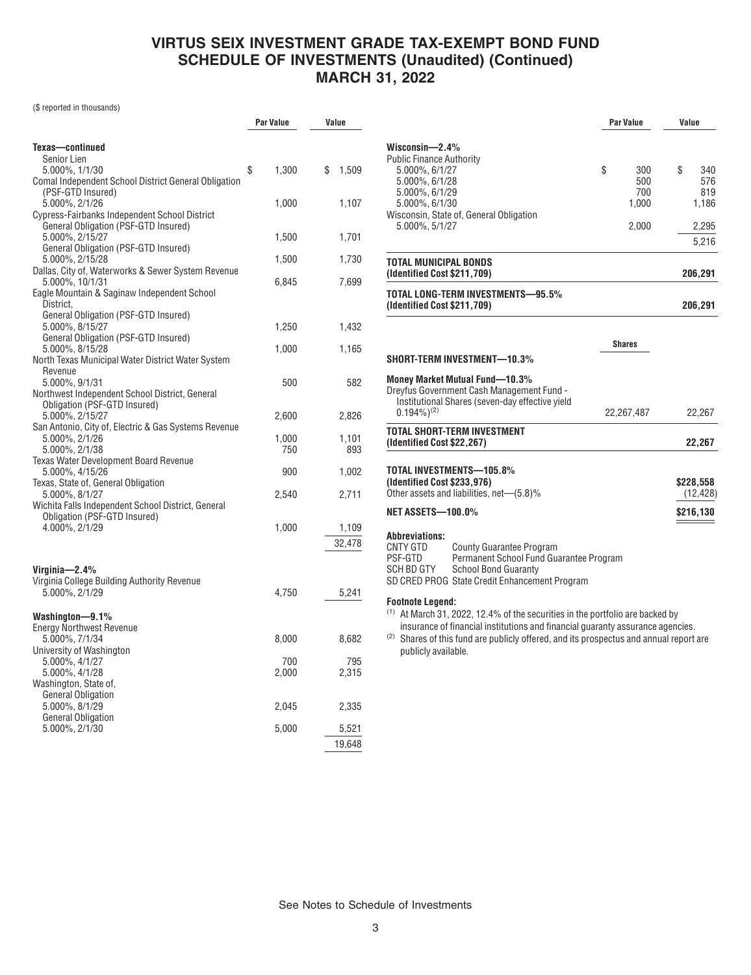#### **VIRTUS SEIX INVESTMENT GRADE TAX-EXEMPT BOND FUND SCHEDULE OF INVESTMENTS (Unaudited) (Continued) MARCH 31, 2022**

(\$ reported in thousands)

|                                                                                    | Par Value    | Value        |  |
|------------------------------------------------------------------------------------|--------------|--------------|--|
|                                                                                    |              |              |  |
| Texas-continued                                                                    |              |              |  |
| <b>Senior Lien</b><br>5.000%, 1/1/30                                               | \$<br>1,300  | \$<br>1,509  |  |
| Comal Independent School District General Obligation                               |              |              |  |
| (PSF-GTD Insured)                                                                  |              |              |  |
| 5.000%, 2/1/26                                                                     | 1,000        | 1,107        |  |
| <b>Cypress-Fairbanks Independent School District</b>                               |              |              |  |
| General Obligation (PSF-GTD Insured)<br>5.000%, 2/15/27                            |              |              |  |
| General Obligation (PSF-GTD Insured)                                               | 1,500        | 1,701        |  |
| 5.000%, 2/15/28                                                                    | 1,500        | 1,730        |  |
| Dallas, City of, Waterworks & Sewer System Revenue                                 |              |              |  |
| 5.000%, 10/1/31                                                                    | 6,845        | 7,699        |  |
| Eagle Mountain & Saginaw Independent School                                        |              |              |  |
| District.<br>General Obligation (PSF-GTD Insured)                                  |              |              |  |
| 5.000%, 8/15/27                                                                    | 1,250        | 1,432        |  |
| General Obligation (PSF-GTD Insured)                                               |              |              |  |
| 5.000%, 8/15/28                                                                    | 1,000        | 1,165        |  |
| North Texas Municipal Water District Water System                                  |              |              |  |
| Revenue<br>5.000%, 9/1/31                                                          | 500          | 582          |  |
| Northwest Independent School District, General                                     |              |              |  |
| Obligation (PSF-GTD Insured)                                                       |              |              |  |
| 5.000%, 2/15/27                                                                    | 2,600        | 2,826        |  |
| San Antonio, City of, Electric & Gas Systems Revenue                               |              |              |  |
| 5.000%, 2/1/26<br>5.000%, 2/1/38                                                   | 1,000<br>750 | 1,101<br>893 |  |
| <b>Texas Water Development Board Revenue</b>                                       |              |              |  |
| 5.000%, 4/15/26                                                                    | 900          | 1,002        |  |
| Texas, State of, General Obligation                                                |              |              |  |
| 5.000%, 8/1/27                                                                     | 2,540        | 2,711        |  |
| Wichita Falls Independent School District, General<br>Obligation (PSF-GTD Insured) |              |              |  |
| 4.000%, 2/1/29                                                                     | 1,000        | 1,109        |  |
|                                                                                    |              | 32,478       |  |
|                                                                                    |              |              |  |
| Virginia-2.4%                                                                      |              |              |  |
| Virginia College Building Authority Revenue                                        |              |              |  |
| 5.000%, 2/1/29                                                                     | 4,750        | 5,241        |  |
|                                                                                    |              |              |  |
| Washington-9.1%                                                                    |              |              |  |
| <b>Energy Northwest Revenue</b>                                                    |              |              |  |
| 5.000%, 7/1/34<br>University of Washington                                         | 8,000        | 8,682        |  |
| 5.000%, 4/1/27                                                                     | 700          | 795          |  |
| 5.000%, 4/1/28                                                                     | 2,000        | 2,315        |  |
| Washington, State of,                                                              |              |              |  |
| <b>General Obligation</b>                                                          |              |              |  |
| 5.000%, 8/1/29<br><b>General Obligation</b>                                        | 2,045        | 2,335        |  |
| 5.000%, 2/1/30                                                                     | 5,000        | 5,521        |  |
|                                                                                    |              | 19,648       |  |
|                                                                                    |              |              |  |

|                                                                                                                                                                                                                          | <b>Par Value</b> |                            | Value                               |  |
|--------------------------------------------------------------------------------------------------------------------------------------------------------------------------------------------------------------------------|------------------|----------------------------|-------------------------------------|--|
| Wisconsin- $2.4\%$<br><b>Public Finance Authority</b><br>5.000%, 6/1/27<br>5.000%, 6/1/28<br>5.000%, 6/1/29<br>5.000%, 6/1/30<br>Wisconsin, State of, General Obligation                                                 | \$               | 300<br>500<br>700<br>1,000 | \$<br>340<br>576<br>819<br>1,186    |  |
| 5.000%, 5/1/27                                                                                                                                                                                                           |                  | 2,000                      | 2,295<br>5,216                      |  |
| TOTAL MUNICIPAL BONDS<br>(Identified Cost \$211,709)                                                                                                                                                                     |                  |                            | 206,291                             |  |
| TOTAL LONG-TERM INVESTMENTS-95.5%<br>(Identified Cost \$211,709)                                                                                                                                                         |                  |                            | 206,291                             |  |
| SHORT-TERM INVESTMENT—10.3%                                                                                                                                                                                              |                  | <b>Shares</b>              |                                     |  |
| Money Market Mutual Fund-10.3%<br>Dreyfus Government Cash Management Fund -<br>Institutional Shares (seven-day effective yield<br>$0.194\%$ <sup>(2)</sup>                                                               |                  | 22,267,487                 | 22,267                              |  |
| <b>TOTAL SHORT-TERM INVESTMENT</b><br>(Identified Cost \$22,267)                                                                                                                                                         |                  |                            | 22,267                              |  |
| TOTAL INVESTMENTS-105.8%<br>(Identified Cost \$233,976)<br>Other assets and liabilities, net-(5.8)%<br><b>NET ASSETS-100.0%</b>                                                                                          |                  |                            | \$228,558<br>(12, 428)<br>\$216,130 |  |
| <b>Abbreviations:</b><br>CNTY GTD<br><b>County Guarantee Program</b><br>PSF-GTD<br>Permanent School Fund Guarantee Program<br>SCH BD GTY<br><b>School Bond Guaranty</b><br>SD CRED PROG State Credit Enhancement Program |                  |                            |                                     |  |
| <b>Footnote Legend:</b><br>$(1)$ At March 31, 2022, 12, 4% of the securities in the portfolio are backed by                                                                                                              |                  |                            |                                     |  |

At March 31, 2022, 12.4% of the securities in the portfolio are backed by insurance of financial institutions and financial guaranty assurance agencies.

(2) Shares of this fund are publicly offered, and its prospectus and annual report are publicly available.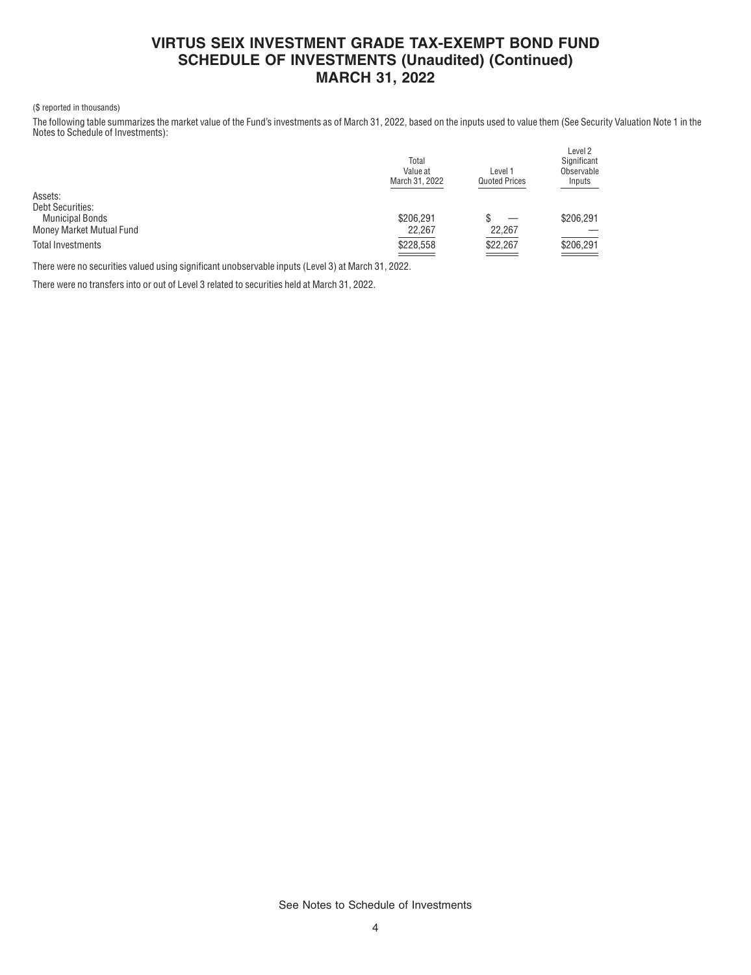### **VIRTUS SEIX INVESTMENT GRADE TAX-EXEMPT BOND FUND SCHEDULE OF INVESTMENTS (Unaudited) (Continued) MARCH 31, 2022**

#### (\$ reported in thousands)

The following table summarizes the market value of the Fund's investments as of March 31, 2022, based on the inputs used to value them (See Security Valuation Note 1 in the Notes to Schedule of Investments):

 $\overline{L}$ 

| Total<br>Value at<br>March 31, 2022 | Level 1<br><b>Quoted Prices</b>    | Level 2<br>Significant<br>Observable<br>Inputs |
|-------------------------------------|------------------------------------|------------------------------------------------|
|                                     |                                    |                                                |
|                                     |                                    |                                                |
| \$206.291                           |                                    | \$206,291                                      |
| 22,267                              | 22,267                             |                                                |
| \$228,558                           | \$22,267<br>and the control of the | \$206,291<br>the company of the                |
|                                     |                                    |                                                |

There were no securities valued using significant unobservable inputs (Level 3) at March 31, 2022.

There were no transfers into or out of Level 3 related to securities held at March 31, 2022.